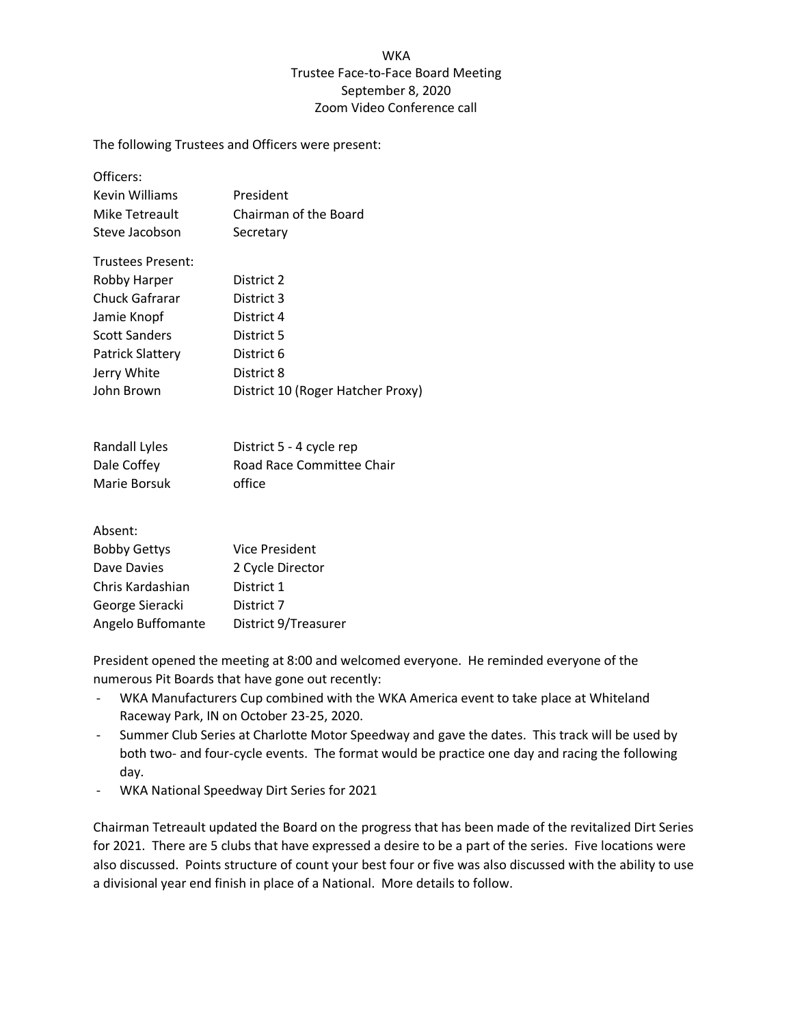## **WKA** Trustee Face-to-Face Board Meeting September 8, 2020 Zoom Video Conference call

The following Trustees and Officers were present:

Officers:

| Kevin Williams    | President             |
|-------------------|-----------------------|
| Mike Tetreault    | Chairman of the Board |
| Steve Jacobson    | Secretary             |
| Trustees Present: |                       |
| Robby Harper      | District 2            |
| Chuck Gafrarar    | District 3            |
| Jamie Knopf       | District 4            |
|                   |                       |

| Scott Sanders    | District 5                        |
|------------------|-----------------------------------|
| Patrick Slattery | District 6                        |
| Jerry White      | District 8                        |
| John Brown       | District 10 (Roger Hatcher Proxy) |

| Randall Lyles | District 5 - 4 cycle rep  |
|---------------|---------------------------|
| Dale Coffey   | Road Race Committee Chair |
| Marie Borsuk  | office                    |

Absent:

| <b>Bobby Gettys</b> | <b>Vice President</b> |
|---------------------|-----------------------|
| Dave Davies         | 2 Cycle Director      |
| Chris Kardashian    | District 1            |
| George Sieracki     | District 7            |
| Angelo Buffomante   | District 9/Treasurer  |
|                     |                       |

President opened the meeting at 8:00 and welcomed everyone. He reminded everyone of the numerous Pit Boards that have gone out recently:

- WKA Manufacturers Cup combined with the WKA America event to take place at Whiteland Raceway Park, IN on October 23-25, 2020.
- Summer Club Series at Charlotte Motor Speedway and gave the dates. This track will be used by both two- and four-cycle events. The format would be practice one day and racing the following day.
- WKA National Speedway Dirt Series for 2021

Chairman Tetreault updated the Board on the progress that has been made of the revitalized Dirt Series for 2021. There are 5 clubs that have expressed a desire to be a part of the series. Five locations were also discussed. Points structure of count your best four or five was also discussed with the ability to use a divisional year end finish in place of a National. More details to follow.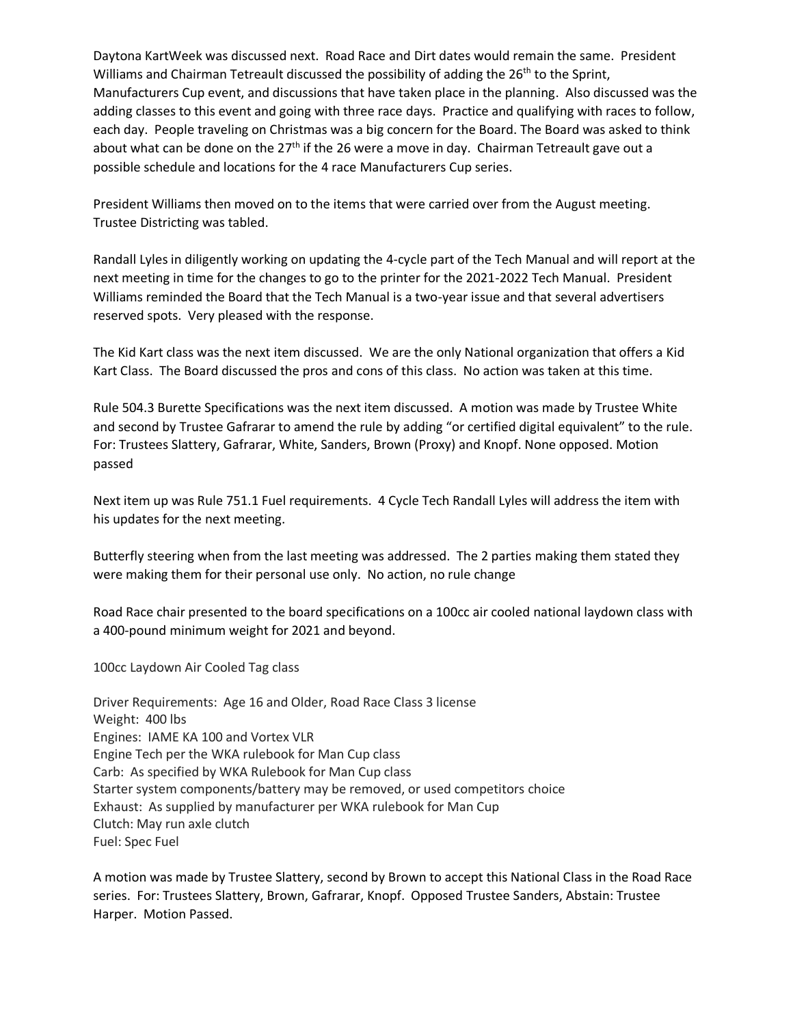Daytona KartWeek was discussed next. Road Race and Dirt dates would remain the same. President Williams and Chairman Tetreault discussed the possibility of adding the 26<sup>th</sup> to the Sprint, Manufacturers Cup event, and discussions that have taken place in the planning. Also discussed was the adding classes to this event and going with three race days. Practice and qualifying with races to follow, each day. People traveling on Christmas was a big concern for the Board. The Board was asked to think about what can be done on the  $27<sup>th</sup>$  if the 26 were a move in day. Chairman Tetreault gave out a possible schedule and locations for the 4 race Manufacturers Cup series.

President Williams then moved on to the items that were carried over from the August meeting. Trustee Districting was tabled.

Randall Lyles in diligently working on updating the 4-cycle part of the Tech Manual and will report at the next meeting in time for the changes to go to the printer for the 2021-2022 Tech Manual. President Williams reminded the Board that the Tech Manual is a two-year issue and that several advertisers reserved spots. Very pleased with the response.

The Kid Kart class was the next item discussed. We are the only National organization that offers a Kid Kart Class. The Board discussed the pros and cons of this class. No action was taken at this time.

Rule 504.3 Burette Specifications was the next item discussed. A motion was made by Trustee White and second by Trustee Gafrarar to amend the rule by adding "or certified digital equivalent" to the rule. For: Trustees Slattery, Gafrarar, White, Sanders, Brown (Proxy) and Knopf. None opposed. Motion passed

Next item up was Rule 751.1 Fuel requirements. 4 Cycle Tech Randall Lyles will address the item with his updates for the next meeting.

Butterfly steering when from the last meeting was addressed. The 2 parties making them stated they were making them for their personal use only. No action, no rule change

Road Race chair presented to the board specifications on a 100cc air cooled national laydown class with a 400-pound minimum weight for 2021 and beyond.

100cc Laydown Air Cooled Tag class

Driver Requirements: Age 16 and Older, Road Race Class 3 license Weight: 400 lbs Engines: IAME KA 100 and Vortex VLR Engine Tech per the WKA rulebook for Man Cup class Carb: As specified by WKA Rulebook for Man Cup class Starter system components/battery may be removed, or used competitors choice Exhaust: As supplied by manufacturer per WKA rulebook for Man Cup Clutch: May run axle clutch Fuel: Spec Fuel

A motion was made by Trustee Slattery, second by Brown to accept this National Class in the Road Race series. For: Trustees Slattery, Brown, Gafrarar, Knopf. Opposed Trustee Sanders, Abstain: Trustee Harper. Motion Passed.